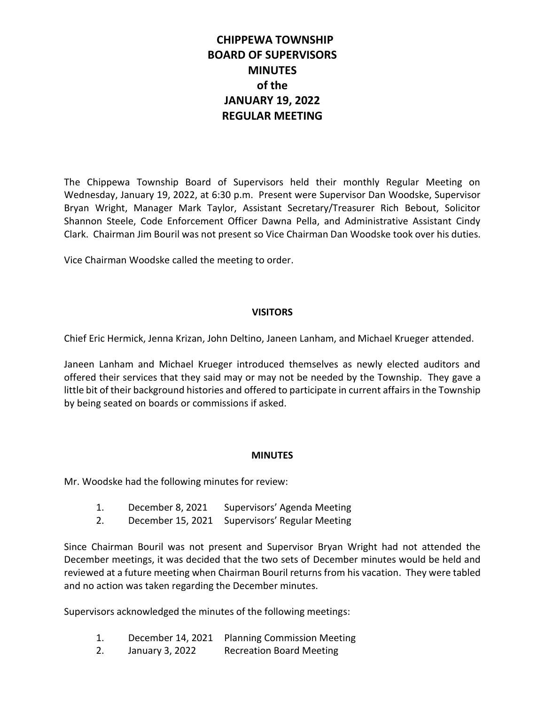# **CHIPPEWA TOWNSHIP BOARD OF SUPERVISORS MINUTES of the JANUARY 19, 2022 REGULAR MEETING**

The Chippewa Township Board of Supervisors held their monthly Regular Meeting on Wednesday, January 19, 2022, at 6:30 p.m. Present were Supervisor Dan Woodske, Supervisor Bryan Wright, Manager Mark Taylor, Assistant Secretary/Treasurer Rich Bebout, Solicitor Shannon Steele, Code Enforcement Officer Dawna Pella, and Administrative Assistant Cindy Clark. Chairman Jim Bouril was not present so Vice Chairman Dan Woodske took over his duties.

Vice Chairman Woodske called the meeting to order.

# **VISITORS**

Chief Eric Hermick, Jenna Krizan, John Deltino, Janeen Lanham, and Michael Krueger attended.

Janeen Lanham and Michael Krueger introduced themselves as newly elected auditors and offered their services that they said may or may not be needed by the Township. They gave a little bit of their background histories and offered to participate in current affairs in the Township by being seated on boards or commissions if asked.

# **MINUTES**

Mr. Woodske had the following minutes for review:

- 1. December 8, 2021 Supervisors' Agenda Meeting
- 2. December 15, 2021 Supervisors' Regular Meeting

Since Chairman Bouril was not present and Supervisor Bryan Wright had not attended the December meetings, it was decided that the two sets of December minutes would be held and reviewed at a future meeting when Chairman Bouril returns from his vacation. They were tabled and no action was taken regarding the December minutes.

Supervisors acknowledged the minutes of the following meetings:

- 1. December 14, 2021 Planning Commission Meeting
- 2. January 3, 2022 Recreation Board Meeting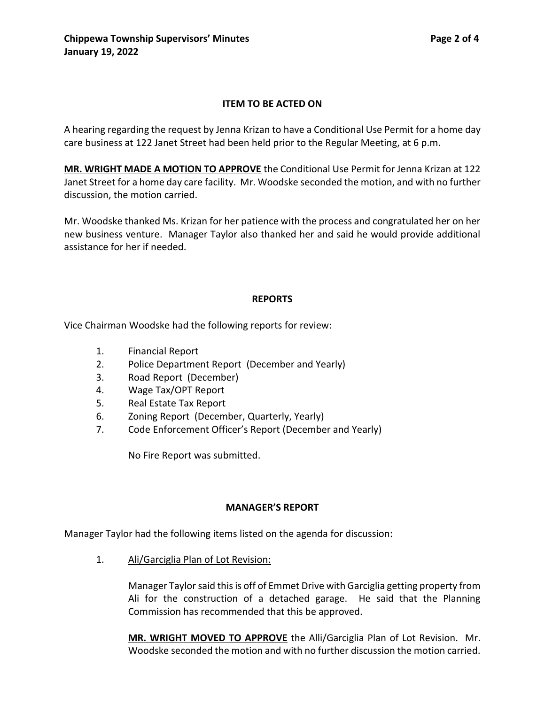# **ITEM TO BE ACTED ON**

A hearing regarding the request by Jenna Krizan to have a Conditional Use Permit for a home day care business at 122 Janet Street had been held prior to the Regular Meeting, at 6 p.m.

**MR. WRIGHT MADE A MOTION TO APPROVE** the Conditional Use Permit for Jenna Krizan at 122 Janet Street for a home day care facility. Mr. Woodske seconded the motion, and with no further discussion, the motion carried.

Mr. Woodske thanked Ms. Krizan for her patience with the process and congratulated her on her new business venture. Manager Taylor also thanked her and said he would provide additional assistance for her if needed.

#### **REPORTS**

Vice Chairman Woodske had the following reports for review:

- 1. Financial Report
- 2. Police Department Report (December and Yearly)
- 3. Road Report (December)
- 4. Wage Tax/OPT Report
- 5. Real Estate Tax Report
- 6. Zoning Report (December, Quarterly, Yearly)
- 7. Code Enforcement Officer's Report (December and Yearly)

No Fire Report was submitted.

#### **MANAGER'S REPORT**

Manager Taylor had the following items listed on the agenda for discussion:

1. Ali/Garciglia Plan of Lot Revision:

Manager Taylor said this is off of Emmet Drive with Garciglia getting property from Ali for the construction of a detached garage. He said that the Planning Commission has recommended that this be approved.

**MR. WRIGHT MOVED TO APPROVE** the Alli/Garciglia Plan of Lot Revision. Mr. Woodske seconded the motion and with no further discussion the motion carried.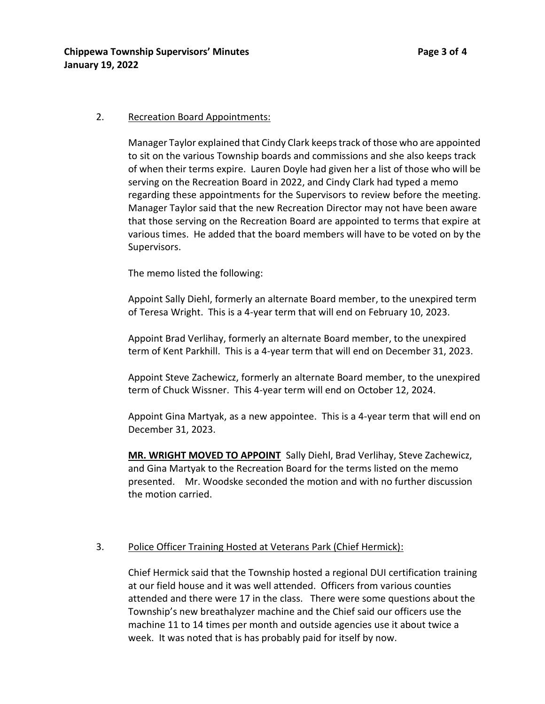### 2. Recreation Board Appointments:

Manager Taylor explained that Cindy Clark keeps track of those who are appointed to sit on the various Township boards and commissions and she also keeps track of when their terms expire. Lauren Doyle had given her a list of those who will be serving on the Recreation Board in 2022, and Cindy Clark had typed a memo regarding these appointments for the Supervisors to review before the meeting. Manager Taylor said that the new Recreation Director may not have been aware that those serving on the Recreation Board are appointed to terms that expire at various times. He added that the board members will have to be voted on by the Supervisors.

The memo listed the following:

Appoint Sally Diehl, formerly an alternate Board member, to the unexpired term of Teresa Wright. This is a 4-year term that will end on February 10, 2023.

Appoint Brad Verlihay, formerly an alternate Board member, to the unexpired term of Kent Parkhill. This is a 4-year term that will end on December 31, 2023.

Appoint Steve Zachewicz, formerly an alternate Board member, to the unexpired term of Chuck Wissner. This 4-year term will end on October 12, 2024.

Appoint Gina Martyak, as a new appointee. This is a 4-year term that will end on December 31, 2023.

**MR. WRIGHT MOVED TO APPOINT** Sally Diehl, Brad Verlihay, Steve Zachewicz, and Gina Martyak to the Recreation Board for the terms listed on the memo presented. Mr. Woodske seconded the motion and with no further discussion the motion carried.

# 3. Police Officer Training Hosted at Veterans Park (Chief Hermick):

Chief Hermick said that the Township hosted a regional DUI certification training at our field house and it was well attended. Officers from various counties attended and there were 17 in the class. There were some questions about the Township's new breathalyzer machine and the Chief said our officers use the machine 11 to 14 times per month and outside agencies use it about twice a week. It was noted that is has probably paid for itself by now.